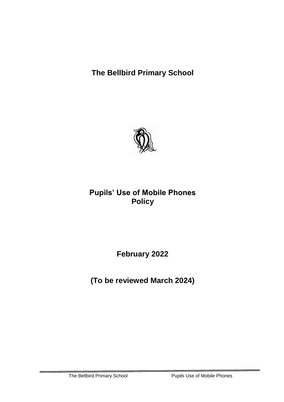**The Bellbird Primary School**



## **Pupils' Use of Mobile Phones Policy**

**February 2022**

**(To be reviewed March 2024)**